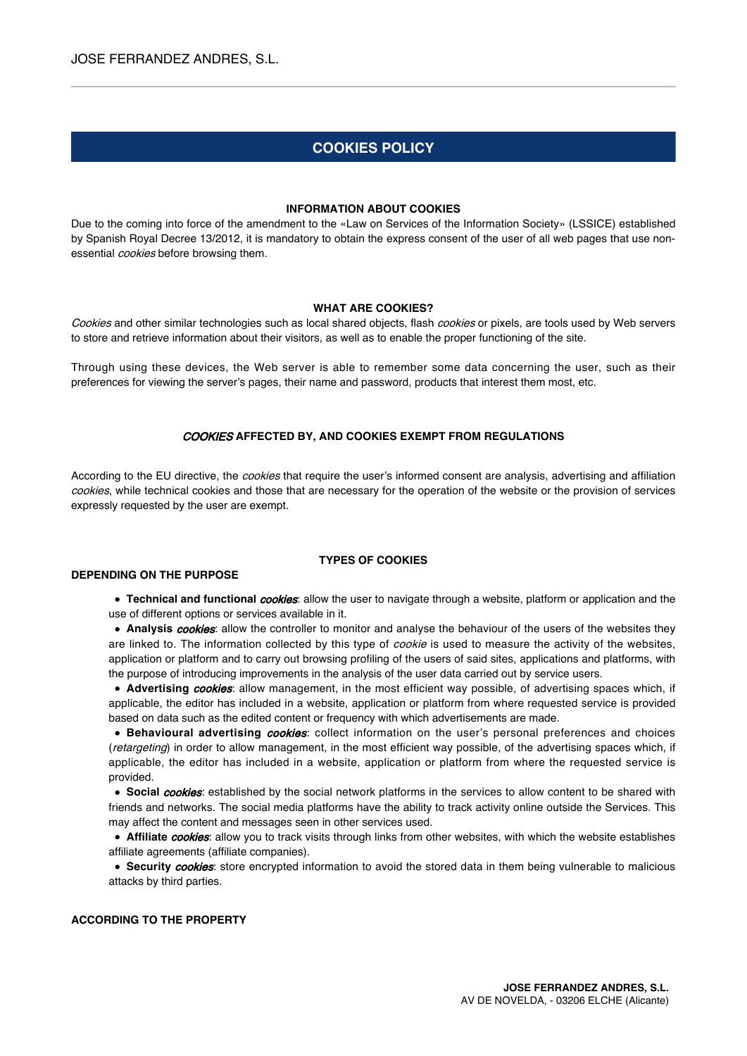# **COOKIES POLICY**

#### **INFORMATION ABOUT COOKIES**

Due to the coming into force of the amendment to the «Law on Services of the Information Society» (LSSICE) established by Spanish Royal Decree 13/2012, it is mandatory to obtain the express consent of the user of all web pages that use nonessential *cookies* before browsing them.

## **WHAT ARE COOKIES?**

Cookies and other similar technologies such as local shared objects, flash cookies or pixels, are tools used by Web servers to store and retrieve information about their visitors, as well as to enable the proper functioning of the site.

Through using these devices, the Web server is able to remember some data concerning the user, such as their preferences for viewing the server's pages, their name and password, products that interest them most, etc.

#### COOKIES **AFFECTED BY, AND COOKIES EXEMPT FROM REGULATIONS**

According to the EU directive, the *cookies* that require the user's informed consent are analysis, advertising and affiliation cookies, while technical cookies and those that are necessary for the operation of the website or the provision of services expressly requested by the user are exempt.

### **TYPES OF COOKIES**

#### **DEPENDING ON THE PURPOSE**

**Technical and functional** *cookies*: allow the user to navigate through a website, platform or application and the use of different options or services available in it.

**Analysis** *cookies*: allow the controller to monitor and analyse the behaviour of the users of the websites they are linked to. The information collected by this type of *cookie* is used to measure the activity of the websites, application or platform and to carry out browsing profiling of the users of said sites, applications and platforms, with the purpose of introducing improvements in the analysis of the user data carried out by service users.

**Advertising cookies:** allow management, in the most efficient way possible, of advertising spaces which, if applicable, the editor has included in a website, application or platform from where requested service is provided based on data such as the edited content or frequency with which advertisements are made.

**Behavioural advertising** *cookies*: collect information on the user's personal preferences and choices (retargeting) in order to allow management, in the most efficient way possible, of the advertising spaces which, if applicable, the editor has included in a website, application or platform from where the requested service is provided.

**Social cookies:** established by the social network platforms in the services to allow content to be shared with friends and networks. The social media platforms have the ability to track activity online outside the Services. This may affect the content and messages seen in other services used.

**Affiliate cookies:** allow you to track visits through links from other websites, with which the website establishes affiliate agreements (affiliate companies).

**Security cookies:** store encrypted information to avoid the stored data in them being vulnerable to malicious attacks by third parties.

## **ACCORDING TO THE PROPERTY**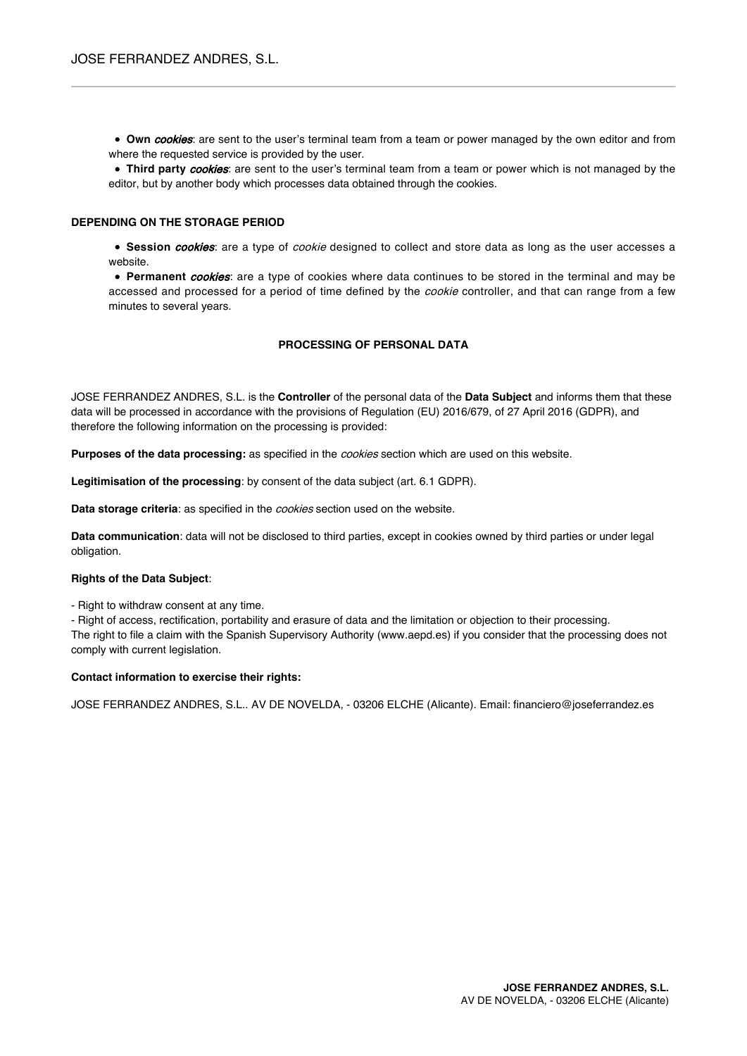**Own cookies:** are sent to the user's terminal team from a team or power managed by the own editor and from where the requested service is provided by the user.

**Third party** *cookies*: are sent to the user's terminal team from a team or power which is not managed by the editor, but by another body which processes data obtained through the cookies.

## **DEPENDING ON THE STORAGE PERIOD**

**Session** *cookies*: are a type of *cookie* designed to collect and store data as long as the user accesses a website.

**Permanent** *cookies*: are a type of cookies where data continues to be stored in the terminal and may be accessed and processed for a period of time defined by the cookie controller, and that can range from a few minutes to several years.

## **PROCESSING OF PERSONAL DATA**

JOSE FERRANDEZ ANDRES, S.L. is the **Controller** of the personal data of the **Data Subject** and informs them that these data will be processed in accordance with the provisions of Regulation (EU) 2016/679, of 27 April 2016 (GDPR), and therefore the following information on the processing is provided:

**Purposes of the data processing:** as specified in the cookies section which are used on this website.

**Legitimisation of the processing**: by consent of the data subject (art. 6.1 GDPR).

**Data storage criteria**: as specified in the cookies section used on the website.

**Data communication**: data will not be disclosed to third parties, except in cookies owned by third parties or under legal obligation.

#### **Rights of the Data Subject**:

- Right to withdraw consent at any time.

- Right of access, rectification, portability and erasure of data and the limitation or objection to their processing.

The right to file a claim with the Spanish Supervisory Authority (www.aepd.es) if you consider that the processing does not comply with current legislation.

#### **Contact information to exercise their rights:**

JOSE FERRANDEZ ANDRES, S.L.. AV DE NOVELDA, - 03206 ELCHE (Alicante). Email: financiero@joseferrandez.es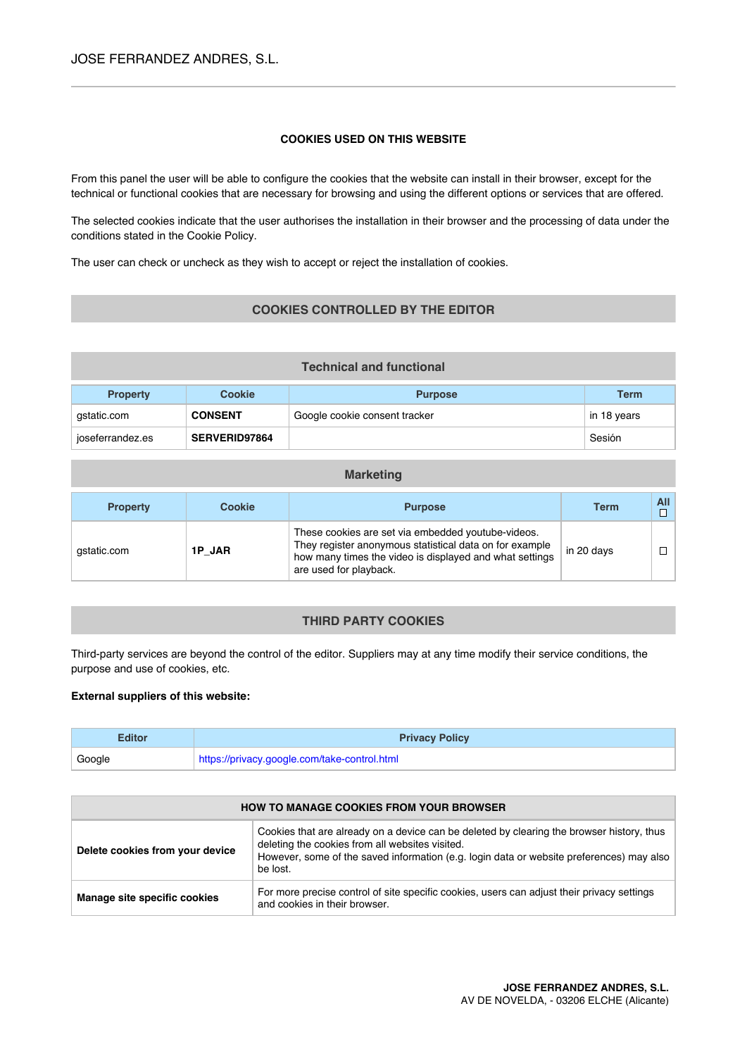# **COOKIES USED ON THIS WEBSITE**

From this panel the user will be able to configure the cookies that the website can install in their browser, except for the technical or functional cookies that are necessary for browsing and using the different options or services that are offered.

The selected cookies indicate that the user authorises the installation in their browser and the processing of data under the conditions stated in the Cookie Policy.

The user can check or uncheck as they wish to accept or reject the installation of cookies.

# **COOKIES CONTROLLED BY THE EDITOR**

| <b>Technical and functional</b> |                |                               |             |  |
|---------------------------------|----------------|-------------------------------|-------------|--|
| <b>Property</b>                 | Cookie         | <b>Purpose</b>                | <b>Term</b> |  |
| gstatic.com                     | <b>CONSENT</b> | Google cookie consent tracker | in 18 years |  |
| joseferrandez.es                | SERVERID97864  |                               | Sesión      |  |

| <b>Property</b> | <b>Cookie</b> | <b>Purpose</b>                                                                                                                                                                                     | <b>Term</b> |  |
|-----------------|---------------|----------------------------------------------------------------------------------------------------------------------------------------------------------------------------------------------------|-------------|--|
| gstatic.com     | 1P JAR        | These cookies are set via embedded youtube-videos.<br>They register anonymous statistical data on for example<br>how many times the video is displayed and what settings<br>are used for playback. | in 20 davs  |  |

**Marketing**

# **THIRD PARTY COOKIES**

Third-party services are beyond the control of the editor. Suppliers may at any time modify their service conditions, the purpose and use of cookies, etc.

## **External suppliers of this website:**

| <b>Editor</b> | <b>Privacy Policy</b>                        |  |
|---------------|----------------------------------------------|--|
| Google        | https://privacy.google.com/take-control.html |  |

| <b>HOW TO MANAGE COOKIES FROM YOUR BROWSER</b> |                                                                                                                                                                                                                                                      |  |
|------------------------------------------------|------------------------------------------------------------------------------------------------------------------------------------------------------------------------------------------------------------------------------------------------------|--|
| Delete cookies from your device                | Cookies that are already on a device can be deleted by clearing the browser history, thus<br>deleting the cookies from all websites visited.<br>However, some of the saved information (e.g. login data or website preferences) may also<br>be lost. |  |
| Manage site specific cookies                   | For more precise control of site specific cookies, users can adjust their privacy settings<br>and cookies in their browser.                                                                                                                          |  |